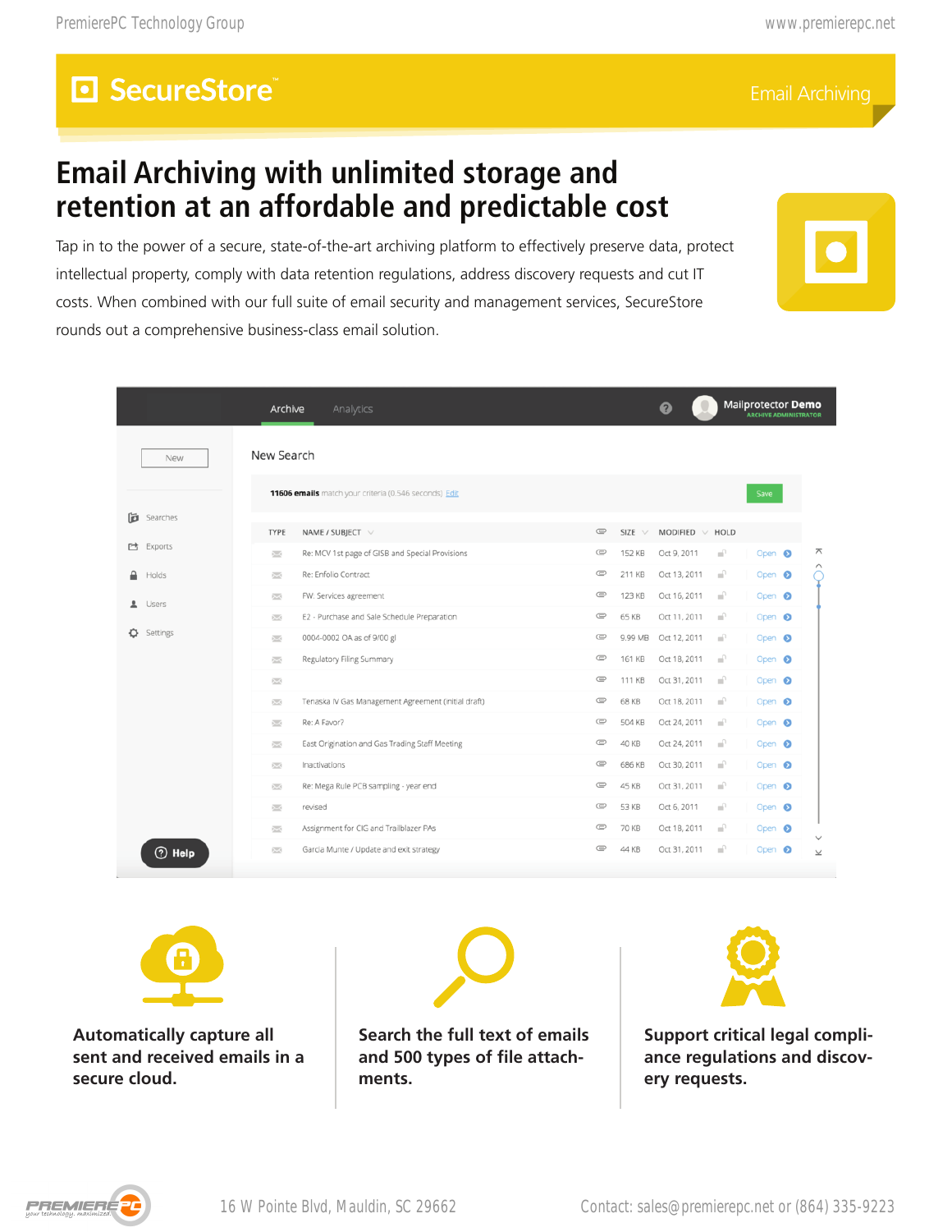### **Email Archiving with unlimited storage and retention at an affordable and predictable cost**



|                     | Analytics<br>Archive                                                                                                            |                    |                  | ❷                            |              | Mailprotector <b>Demo</b>              |  |   |
|---------------------|---------------------------------------------------------------------------------------------------------------------------------|--------------------|------------------|------------------------------|--------------|----------------------------------------|--|---|
| New                 | New Search<br>11606 emails match your criteria (0.546 seconds) Edit                                                             |                    |                  |                              |              | Save                                   |  |   |
| Searches            |                                                                                                                                 |                    |                  |                              |              |                                        |  |   |
| <b>西</b> Exports    | NAME / SUBJECT $\vee$<br><b>TYPE</b>                                                                                            | $\circledcirc$     | SIZE $\vee$      | MODIFIED $\vee$ HOLD         |              |                                        |  |   |
|                     | Re: MCV 1st page of GISB and Special Provisions<br>Ň                                                                            | $\circ$            | 152 KB           | Oct 9, 2011                  | -P           | Open <sup>O</sup>                      |  | ᄌ |
| Holds               | Re: Enfolio Contract<br>$\overline{\mathbb{R}^n}$                                                                               | $\circ$<br>$\circ$ | 211 KB<br>123 KB | Oct 13, 2011<br>Oct 16, 2011 | -an-<br>-an- | Open <sup>O</sup><br>Open <sup>O</sup> |  |   |
| Users<br>ᆂ          | FW: Services agreement<br>$\overline{\mathbb{R}^{n}}$<br>E2 - Purchase and Sale Schedule Preparation<br>$\overline{\mathbb{R}}$ | ¢                  | 65 KB            | Oct 11, 2011                 |              | Open <sup>O</sup>                      |  |   |
| Settings            | 0004-0002 OA as of 9/00 gl<br>Ň                                                                                                 | $\circ$            |                  |                              | <b>A</b>     | Open <sup>O</sup>                      |  |   |
|                     | Regulatory Filing Summary<br>$\overline{\phantom{a}}$                                                                           | $\subseteq$        | 161 KB           | Oct 18, 2011                 | ni)          | Open <sup>®</sup>                      |  |   |
|                     | $\overline{\phantom{a}}$                                                                                                        | $\subseteq$        | 111 KB           | Oct 31, 2011                 |              | Open <sup>O</sup>                      |  |   |
|                     | Tenaska IV Gas Management Agreement (initial draft)<br>$\sum$                                                                   | $\circ$            | 68 KB            | Oct 18, 2011 <sup>1</sup>    |              | Open <sup>O</sup>                      |  |   |
|                     | Re: A Favor?<br>$\overline{\mathbb{R}^{n}}$                                                                                     | c                  | 504 KB           | Oct 24, 2011                 |              | Open <sup>O</sup>                      |  |   |
|                     | East Origination and Gas Trading Staff Meeting<br>$\overline{\phantom{a}}$                                                      | $\subset$          | 40 KB            | Oct 24, 2011                 |              | Open <sup>®</sup>                      |  |   |
|                     | $\sum_{i=1}^n$<br>Inactivations                                                                                                 | $\subseteq$        | 686 KB           | Oct 30, 2011                 |              | Open <sup>O</sup>                      |  |   |
|                     | Re: Mega Rule PCB sampling - year end<br>523                                                                                    | $\circ$            | 45 KB            | Oct 31, 2011                 |              | Open <sup>6</sup>                      |  |   |
|                     | revised<br>$\sum$                                                                                                               | $\circ$            | 53 KB            | Oct 6, 2011                  |              | Open <sup>O</sup>                      |  |   |
|                     | Assignment for CIG and Trailblazer PAs<br>$\overline{\mathbb{R}^n}$                                                             | $\circ$            | 70 KB            | Oct 18, 2011                 |              | Open <sup>6</sup>                      |  |   |
| $\circledcirc$ Help | Garcia Munte / Update and exit strategy<br>$\sum_{i=1}^{n}$                                                                     | e                  | 44 KB            | Oct 31, 2011                 |              | Open <sup>O</sup>                      |  |   |







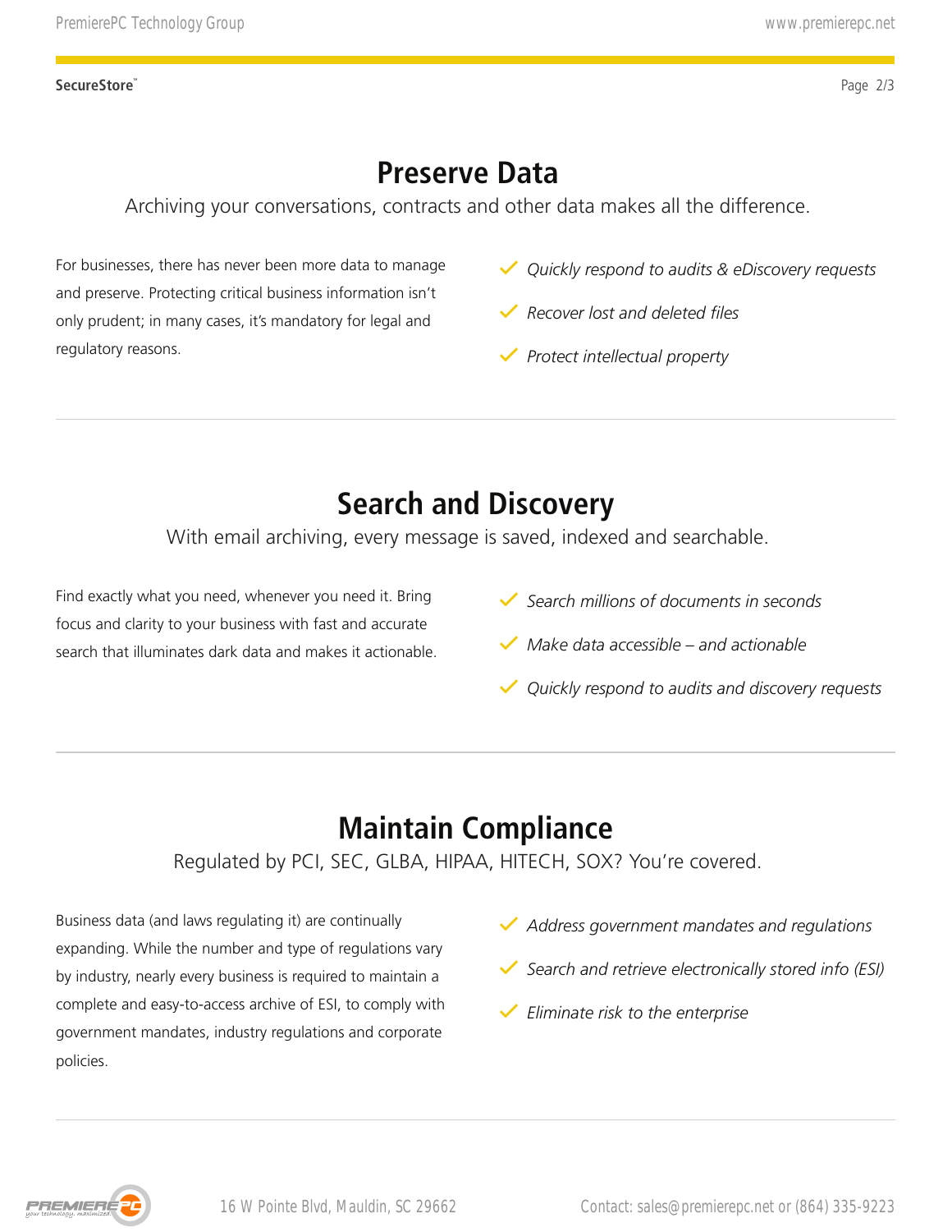## **Preserve Data**

Archiving your conversations, contracts and other data makes all the difference.

For businesses, there has never been more data to manage and preserve. Protecting critical business information isn't only prudent; in many cases, it's mandatory for legal and regulatory reasons.

- *Quickly respond to audits & eDiscovery requests*
- *Recover lost and deleted files*
- *Protect intellectual property*

# **Search and Discovery**

With email archiving, every message is saved, indexed and searchable.

Find exactly what you need, whenever you need it. Bring focus and clarity to your business with fast and accurate search that illuminates dark data and makes it actionable.

- *Search millions of documents in seconds*
- *Make data accessible and actionable*
- *Quickly respond to audits and discovery requests*

# **Maintain Compliance**

Regulated by PCI, SEC, GLBA, HIPAA, HITECH, SOX? You're covered.

Business data (and laws regulating it) are continually expanding. While the number and type of regulations vary by industry, nearly every business is required to maintain a complete and easy-to-access archive of ESI, to comply with government mandates, industry regulations and corporate policies. Presente Lectrong Group<br>
Presente Data<br>
Acchiving your conversations, contracts and other data makes all the difference.<br>
Acchiving your conversations, contracts and other data makes all the difference.<br>
Accounter investi

- *Address government mandates and regulations*
- *Search and retrieve electronically stored info (ESI)*
- *Eliminate risk to the enterprise*